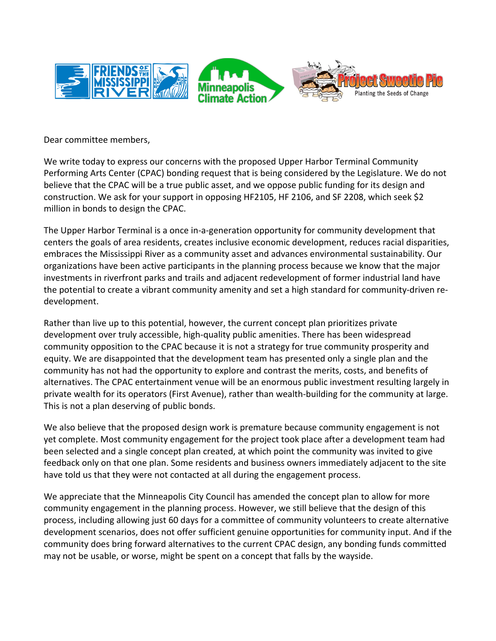

Dear committee members,

We write today to express our concerns with the proposed Upper Harbor Terminal Community Performing Arts Center (CPAC) bonding request that is being considered by the Legislature. We do not believe that the CPAC will be a true public asset, and we oppose public funding for its design and construction. We ask for your support in opposing HF2105, HF 2106, and SF 2208, which seek \$2 million in bonds to design the CPAC.

The Upper Harbor Terminal is a once in-a-generation opportunity for community development that centers the goals of area residents, creates inclusive economic development, reduces racial disparities, embraces the Mississippi River as a community asset and advances environmental sustainability. Our organizations have been active participants in the planning process because we know that the major investments in riverfront parks and trails and adjacent redevelopment of former industrial land have the potential to create a vibrant community amenity and set a high standard for community-driven redevelopment.

Rather than live up to this potential, however, the current concept plan prioritizes private development over truly accessible, high-quality public amenities. There has been widespread community opposition to the CPAC because it is not a strategy for true community prosperity and equity. We are disappointed that the development team has presented only a single plan and the community has not had the opportunity to explore and contrast the merits, costs, and benefits of alternatives. The CPAC entertainment venue will be an enormous public investment resulting largely in private wealth for its operators (First Avenue), rather than wealth-building for the community at large. This is not a plan deserving of public bonds.

We also believe that the proposed design work is premature because community engagement is not yet complete. Most community engagement for the project took place after a development team had been selected and a single concept plan created, at which point the community was invited to give feedback only on that one plan. Some residents and business owners immediately adjacent to the site have told us that they were not contacted at all during the engagement process.

We appreciate that the Minneapolis City Council has amended the concept plan to allow for more community engagement in the planning process. However, we still believe that the design of this process, including allowing just 60 days for a committee of community volunteers to create alternative development scenarios, does not offer sufficient genuine opportunities for community input. And if the community does bring forward alternatives to the current CPAC design, any bonding funds committed may not be usable, or worse, might be spent on a concept that falls by the wayside.